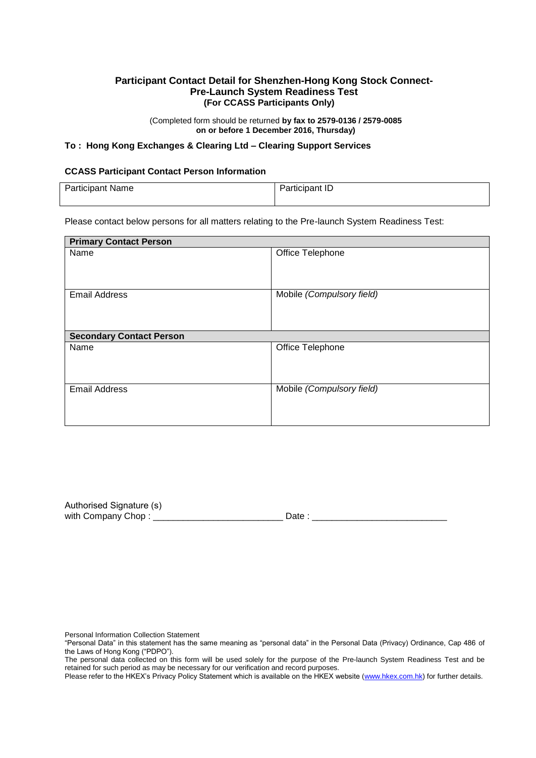#### **Participant Contact Detail for Shenzhen-Hong Kong Stock Connect-Pre-Launch System Readiness Test (For CCASS Participants Only)**

(Completed form should be returned **by fax to 2579-0136 / 2579-0085 on or before 1 December 2016, Thursday)**

#### **To : Hong Kong Exchanges & Clearing Ltd – Clearing Support Services**

#### **CCASS Participant Contact Person Information**

| <b>Participant Name</b> | Participant ID |
|-------------------------|----------------|
|                         |                |

Please contact below persons for all matters relating to the Pre-launch System Readiness Test:

| <b>Primary Contact Person</b>   |                           |  |  |  |
|---------------------------------|---------------------------|--|--|--|
| Name                            | Office Telephone          |  |  |  |
| <b>Email Address</b>            | Mobile (Compulsory field) |  |  |  |
| <b>Secondary Contact Person</b> |                           |  |  |  |
| Name                            | Office Telephone          |  |  |  |
| <b>Email Address</b>            | Mobile (Compulsory field) |  |  |  |

Authorised Signature (s) with Company Chop : \_\_\_\_\_\_\_\_\_\_\_\_\_\_\_\_\_\_\_\_\_\_\_\_\_\_ Date : \_\_\_\_\_\_\_\_\_\_\_\_\_\_\_\_\_\_\_\_\_\_\_\_\_\_\_

Personal Information Collection Statement

The personal data collected on this form will be used solely for the purpose of the Pre-launch System Readiness Test and be retained for such period as may be necessary for our verification and record purposes.

<sup>&</sup>quot;Personal Data" in this statement has the same meaning as "personal data" in the Personal Data (Privacy) Ordinance, Cap 486 of the Laws of Hong Kong ("PDPO").

Please refer to the HKEX's Privacy Policy Statement which is available on the HKEX website [\(www.hkex.com.hk\)](http://www.hkex.com.hk/) for further details.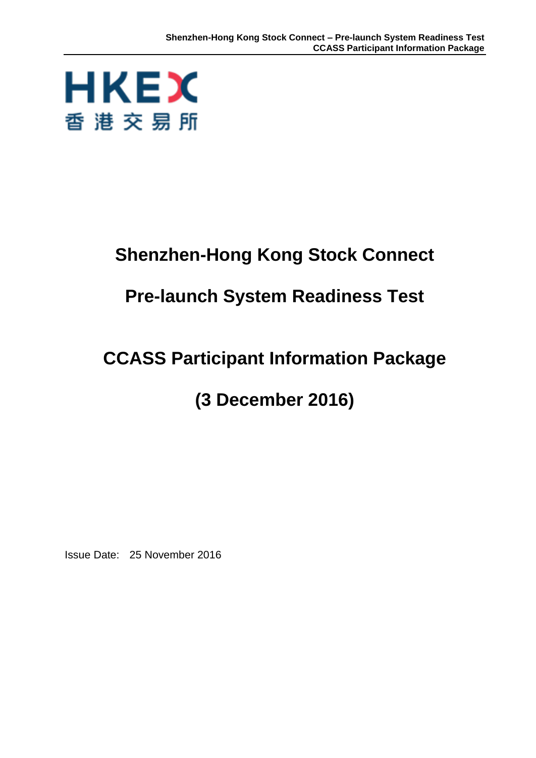

# **Shenzhen-Hong Kong Stock Connect**

# **Pre-launch System Readiness Test**

# **CCASS Participant Information Package**

## **(3 December 2016)**

Issue Date: 25 November 2016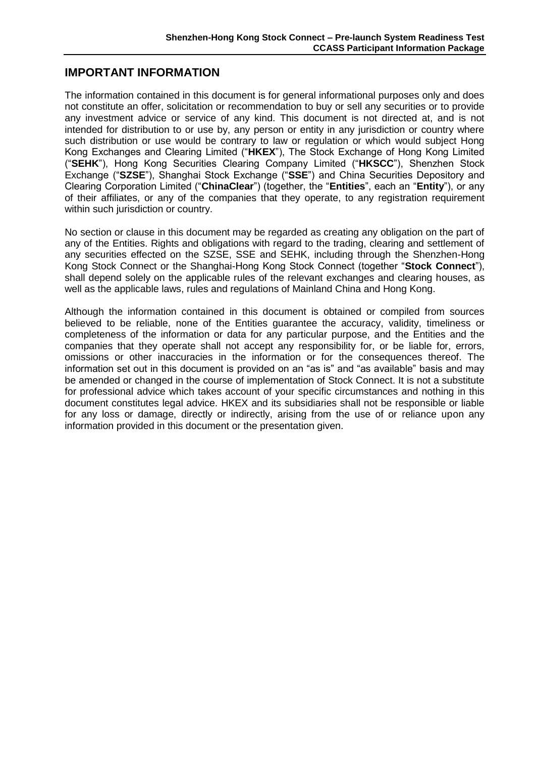#### **IMPORTANT INFORMATION**

The information contained in this document is for general informational purposes only and does not constitute an offer, solicitation or recommendation to buy or sell any securities or to provide any investment advice or service of any kind. This document is not directed at, and is not intended for distribution to or use by, any person or entity in any jurisdiction or country where such distribution or use would be contrary to law or regulation or which would subject Hong Kong Exchanges and Clearing Limited ("**HKEX**"), The Stock Exchange of Hong Kong Limited ("**SEHK**"), Hong Kong Securities Clearing Company Limited ("**HKSCC**"), Shenzhen Stock Exchange ("**SZSE**"), Shanghai Stock Exchange ("**SSE**") and China Securities Depository and Clearing Corporation Limited ("**ChinaClear**") (together, the "**Entities**", each an "**Entity**"), or any of their affiliates, or any of the companies that they operate, to any registration requirement within such jurisdiction or country.

No section or clause in this document may be regarded as creating any obligation on the part of any of the Entities. Rights and obligations with regard to the trading, clearing and settlement of any securities effected on the SZSE, SSE and SEHK, including through the Shenzhen-Hong Kong Stock Connect or the Shanghai-Hong Kong Stock Connect (together "**Stock Connect**"), shall depend solely on the applicable rules of the relevant exchanges and clearing houses, as well as the applicable laws, rules and regulations of Mainland China and Hong Kong.

Although the information contained in this document is obtained or compiled from sources believed to be reliable, none of the Entities guarantee the accuracy, validity, timeliness or completeness of the information or data for any particular purpose, and the Entities and the companies that they operate shall not accept any responsibility for, or be liable for, errors, omissions or other inaccuracies in the information or for the consequences thereof. The information set out in this document is provided on an "as is" and "as available" basis and may be amended or changed in the course of implementation of Stock Connect. It is not a substitute for professional advice which takes account of your specific circumstances and nothing in this document constitutes legal advice. HKEX and its subsidiaries shall not be responsible or liable for any loss or damage, directly or indirectly, arising from the use of or reliance upon any information provided in this document or the presentation given.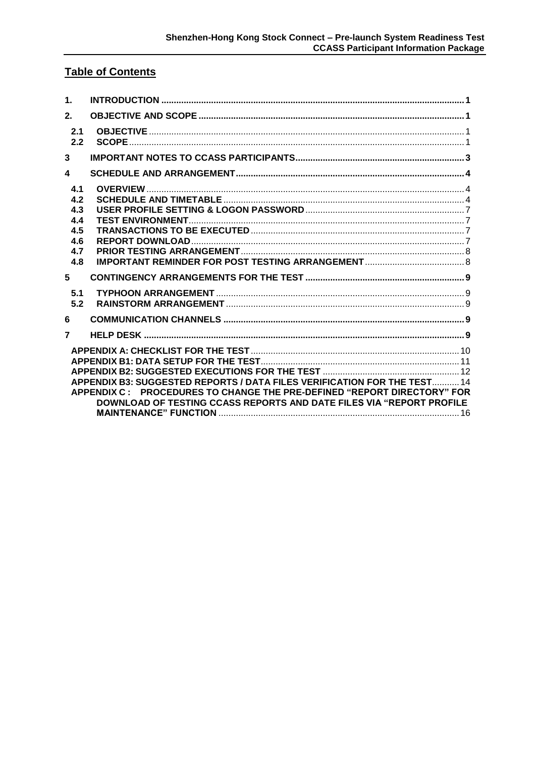## **Table of Contents**

| $\mathbf{1}$ .                                       |                                                                                                                                                                                                                             |  |
|------------------------------------------------------|-----------------------------------------------------------------------------------------------------------------------------------------------------------------------------------------------------------------------------|--|
| 2.                                                   |                                                                                                                                                                                                                             |  |
| 2.1<br>2.2                                           |                                                                                                                                                                                                                             |  |
| 3                                                    |                                                                                                                                                                                                                             |  |
| $\overline{\mathbf{4}}$                              |                                                                                                                                                                                                                             |  |
| 4.1<br>4.2<br>4.3<br>4.4<br>4.5<br>4.6<br>4.7<br>4.8 |                                                                                                                                                                                                                             |  |
| 5                                                    |                                                                                                                                                                                                                             |  |
| 5.1<br>5.2                                           |                                                                                                                                                                                                                             |  |
| 6                                                    |                                                                                                                                                                                                                             |  |
| $\overline{7}$                                       |                                                                                                                                                                                                                             |  |
|                                                      | APPENDIX B3: SUGGESTED REPORTS / DATA FILES VERIFICATION FOR THE TEST 14<br>APPENDIX C: PROCEDURES TO CHANGE THE PRE-DEFINED "REPORT DIRECTORY" FOR<br>DOWNLOAD OF TESTING CCASS REPORTS AND DATE FILES VIA "REPORT PROFILE |  |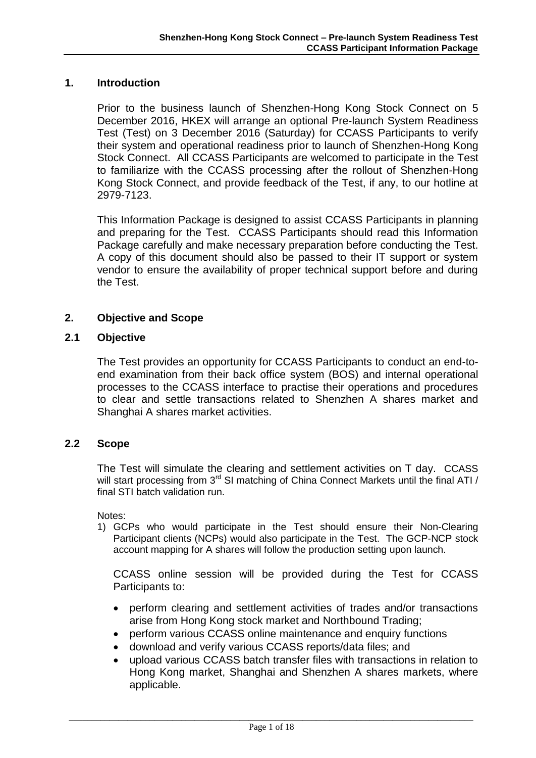#### <span id="page-4-0"></span>**1. Introduction**

Prior to the business launch of Shenzhen-Hong Kong Stock Connect on 5 December 2016, HKEX will arrange an optional Pre-launch System Readiness Test (Test) on 3 December 2016 (Saturday) for CCASS Participants to verify their system and operational readiness prior to launch of Shenzhen-Hong Kong Stock Connect. All CCASS Participants are welcomed to participate in the Test to familiarize with the CCASS processing after the rollout of Shenzhen-Hong Kong Stock Connect, and provide feedback of the Test, if any, to our hotline at 2979-7123.

This Information Package is designed to assist CCASS Participants in planning and preparing for the Test. CCASS Participants should read this Information Package carefully and make necessary preparation before conducting the Test. A copy of this document should also be passed to their IT support or system vendor to ensure the availability of proper technical support before and during the Test.

#### <span id="page-4-1"></span>**2. Objective and Scope**

#### <span id="page-4-2"></span>**2.1 Objective**

The Test provides an opportunity for CCASS Participants to conduct an end-toend examination from their back office system (BOS) and internal operational processes to the CCASS interface to practise their operations and procedures to clear and settle transactions related to Shenzhen A shares market and Shanghai A shares market activities.

#### <span id="page-4-3"></span>**2.2 Scope**

The Test will simulate the clearing and settlement activities on T day. CCASS will start processing from 3<sup>rd</sup> SI matching of China Connect Markets until the final ATI / final STI batch validation run.

Notes:

1) GCPs who would participate in the Test should ensure their Non-Clearing Participant clients (NCPs) would also participate in the Test. The GCP-NCP stock account mapping for A shares will follow the production setting upon launch.

CCASS online session will be provided during the Test for CCASS Participants to:

- perform clearing and settlement activities of trades and/or transactions arise from Hong Kong stock market and Northbound Trading;
- perform various CCASS online maintenance and enquiry functions
- download and verify various CCASS reports/data files; and
- upload various CCASS batch transfer files with transactions in relation to Hong Kong market, Shanghai and Shenzhen A shares markets, where applicable.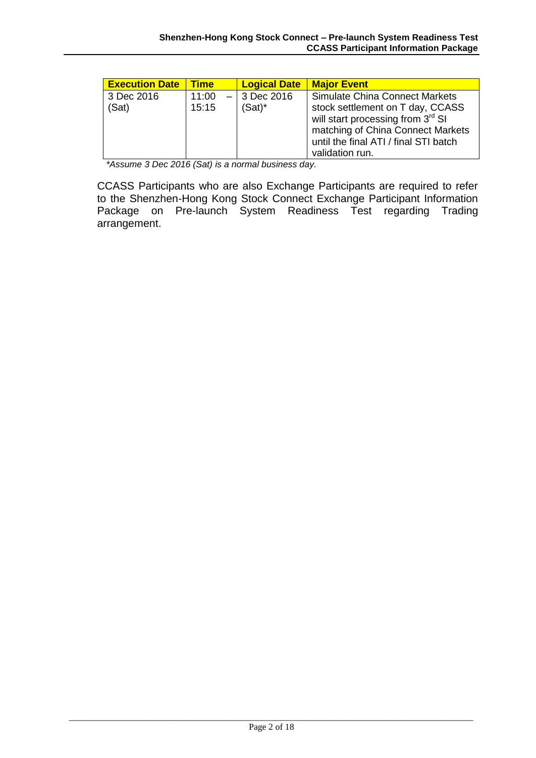| <b>Execution Date</b> | <b>Time</b> | <b>Logical Date</b> | <b>Major Event</b>                                                                                                                                                                 |
|-----------------------|-------------|---------------------|------------------------------------------------------------------------------------------------------------------------------------------------------------------------------------|
| 3 Dec 2016            | 11:00       | $-13$ Dec 2016      | <b>Simulate China Connect Markets</b>                                                                                                                                              |
| (Sat)                 | 15:15       | $(Sat)^*$           | stock settlement on T day, CCASS<br>will start processing from 3 <sup>rd</sup> SI<br>matching of China Connect Markets<br>until the final ATI / final STI batch<br>validation run. |

*\*Assume 3 Dec 2016 (Sat) is a normal business day.*

CCASS Participants who are also Exchange Participants are required to refer to the Shenzhen-Hong Kong Stock Connect Exchange Participant Information Package on Pre-launch System Readiness Test regarding Trading arrangement.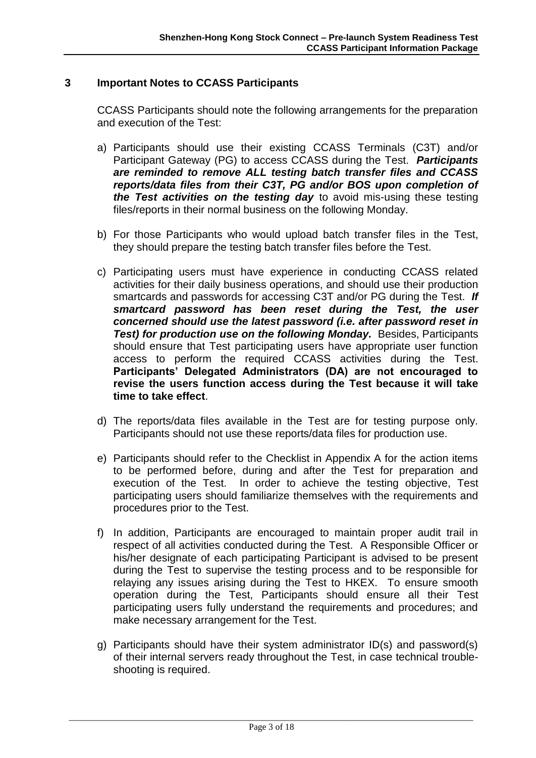#### <span id="page-6-0"></span>**3 Important Notes to CCASS Participants**

CCASS Participants should note the following arrangements for the preparation and execution of the Test:

- a) Participants should use their existing CCASS Terminals (C3T) and/or Participant Gateway (PG) to access CCASS during the Test. *Participants are reminded to remove ALL testing batch transfer files and CCASS reports/data files from their C3T, PG and/or BOS upon completion of the Test activities on the testing day* to avoid mis-using these testing files/reports in their normal business on the following Monday.
- b) For those Participants who would upload batch transfer files in the Test, they should prepare the testing batch transfer files before the Test.
- c) Participating users must have experience in conducting CCASS related activities for their daily business operations, and should use their production smartcards and passwords for accessing C3T and/or PG during the Test. *If smartcard password has been reset during the Test, the user concerned should use the latest password (i.e. after password reset in Test) for production use on the following Monday.* Besides, Participants should ensure that Test participating users have appropriate user function access to perform the required CCASS activities during the Test. **Participants' Delegated Administrators (DA) are not encouraged to revise the users function access during the Test because it will take time to take effect**.
- d) The reports/data files available in the Test are for testing purpose only. Participants should not use these reports/data files for production use.
- e) Participants should refer to the Checklist in Appendix A for the action items to be performed before, during and after the Test for preparation and execution of the Test. In order to achieve the testing objective, Test participating users should familiarize themselves with the requirements and procedures prior to the Test.
- f) In addition, Participants are encouraged to maintain proper audit trail in respect of all activities conducted during the Test. A Responsible Officer or his/her designate of each participating Participant is advised to be present during the Test to supervise the testing process and to be responsible for relaying any issues arising during the Test to HKEX. To ensure smooth operation during the Test, Participants should ensure all their Test participating users fully understand the requirements and procedures; and make necessary arrangement for the Test.
- g) Participants should have their system administrator ID(s) and password(s) of their internal servers ready throughout the Test, in case technical troubleshooting is required.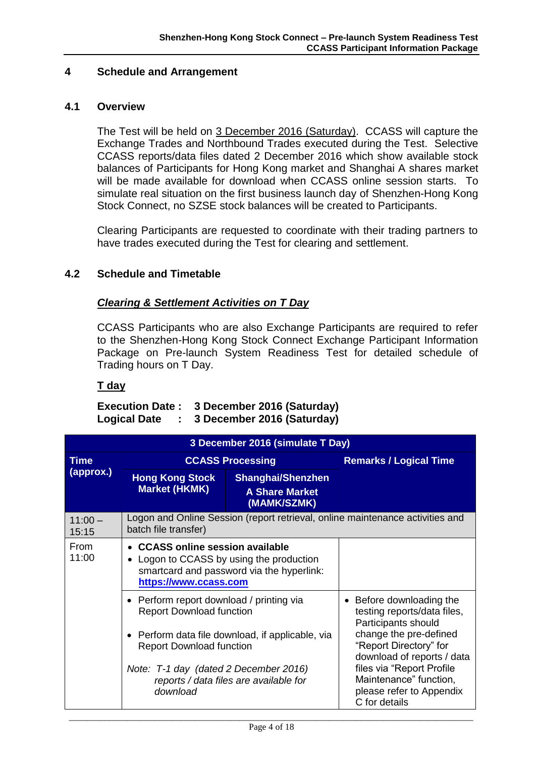#### <span id="page-7-0"></span>**4 Schedule and Arrangement**

#### <span id="page-7-1"></span>**4.1 Overview**

The Test will be held on 3 December 2016 (Saturday). CCASS will capture the Exchange Trades and Northbound Trades executed during the Test. Selective CCASS reports/data files dated 2 December 2016 which show available stock balances of Participants for Hong Kong market and Shanghai A shares market will be made available for download when CCASS online session starts. To simulate real situation on the first business launch day of Shenzhen-Hong Kong Stock Connect, no SZSE stock balances will be created to Participants.

Clearing Participants are requested to coordinate with their trading partners to have trades executed during the Test for clearing and settlement.

#### <span id="page-7-2"></span>**4.2 Schedule and Timetable**

#### *Clearing & Settlement Activities on T Day*

CCASS Participants who are also Exchange Participants are required to refer to the Shenzhen-Hong Kong Stock Connect Exchange Participant Information Package on Pre-launch System Readiness Test for detailed schedule of Trading hours on T Day.

#### **T day**

#### **Execution Date : 3 December 2016 (Saturday) Logical Date : 3 December 2016 (Saturday)**

|                    | 3 December 2016 (simulate T Day)                                                                                                                                   |                                                                                                                                                                  |                                                                                                  |  |  |  |  |
|--------------------|--------------------------------------------------------------------------------------------------------------------------------------------------------------------|------------------------------------------------------------------------------------------------------------------------------------------------------------------|--------------------------------------------------------------------------------------------------|--|--|--|--|
| <b>Time</b>        |                                                                                                                                                                    | <b>CCASS Processing</b>                                                                                                                                          | <b>Remarks / Logical Time</b>                                                                    |  |  |  |  |
| (approx.)          | <b>Hong Kong Stock</b><br><b>Market (HKMK)</b>                                                                                                                     | <b>Shanghai/Shenzhen</b><br><b>A Share Market</b><br>(MAMK/SZMK)                                                                                                 |                                                                                                  |  |  |  |  |
| $11:00 -$<br>15:15 | batch file transfer)                                                                                                                                               |                                                                                                                                                                  | Logon and Online Session (report retrieval, online maintenance activities and                    |  |  |  |  |
| From<br>11:00      | • CCASS online session available<br>Logon to CCASS by using the production<br>smartcard and password via the hyperlink:<br>https://www.ccass.com                   |                                                                                                                                                                  |                                                                                                  |  |  |  |  |
|                    | • Perform report download / printing via<br><b>Report Download function</b><br>• Perform data file download, if applicable, via<br><b>Report Download function</b> | • Before downloading the<br>testing reports/data files,<br>Participants should<br>change the pre-defined<br>"Report Directory" for<br>download of reports / data |                                                                                                  |  |  |  |  |
|                    | Note: T-1 day (dated 2 December 2016)<br>reports / data files are available for<br>download                                                                        |                                                                                                                                                                  | files via "Report Profile<br>Maintenance" function,<br>please refer to Appendix<br>C for details |  |  |  |  |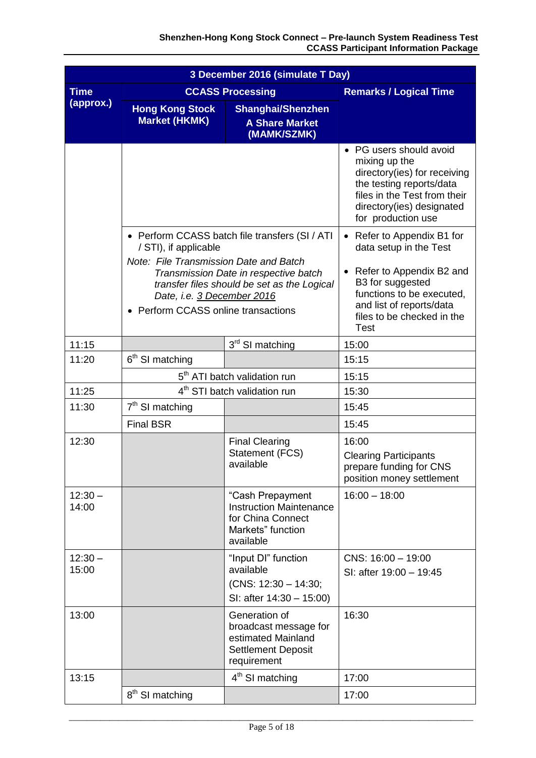|                            | 3 December 2016 (simulate T Day)                                                                                                                                                                                                                                               |                                                                                                                                                                                                                       |                                                                                                                                                                                         |  |  |  |  |
|----------------------------|--------------------------------------------------------------------------------------------------------------------------------------------------------------------------------------------------------------------------------------------------------------------------------|-----------------------------------------------------------------------------------------------------------------------------------------------------------------------------------------------------------------------|-----------------------------------------------------------------------------------------------------------------------------------------------------------------------------------------|--|--|--|--|
| <b>Time</b>                |                                                                                                                                                                                                                                                                                | <b>CCASS Processing</b>                                                                                                                                                                                               | <b>Remarks / Logical Time</b>                                                                                                                                                           |  |  |  |  |
| (approx.)                  | <b>Hong Kong Stock</b><br><b>Market (HKMK)</b>                                                                                                                                                                                                                                 | <b>Shanghai/Shenzhen</b><br><b>A Share Market</b><br>(MAMK/SZMK)                                                                                                                                                      |                                                                                                                                                                                         |  |  |  |  |
|                            |                                                                                                                                                                                                                                                                                |                                                                                                                                                                                                                       | • PG users should avoid<br>mixing up the<br>directory(ies) for receiving<br>the testing reports/data<br>files in the Test from their<br>directory(ies) designated<br>for production use |  |  |  |  |
|                            | • Perform CCASS batch file transfers (SI / ATI<br>/ STI), if applicable<br>Note: File Transmission Date and Batch<br>Transmission Date in respective batch<br>transfer files should be set as the Logical<br>Date, i.e. 3 December 2016<br>• Perform CCASS online transactions | Refer to Appendix B1 for<br>$\bullet$<br>data setup in the Test<br>Refer to Appendix B2 and<br>B3 for suggested<br>functions to be executed,<br>and list of reports/data<br>files to be checked in the<br><b>Test</b> |                                                                                                                                                                                         |  |  |  |  |
| 11:15                      |                                                                                                                                                                                                                                                                                | 3rd SI matching                                                                                                                                                                                                       | 15:00                                                                                                                                                                                   |  |  |  |  |
| 11:20                      | 6 <sup>th</sup> SI matching                                                                                                                                                                                                                                                    |                                                                                                                                                                                                                       | 15:15                                                                                                                                                                                   |  |  |  |  |
|                            | 5 <sup>th</sup> ATI batch validation run                                                                                                                                                                                                                                       |                                                                                                                                                                                                                       | 15:15                                                                                                                                                                                   |  |  |  |  |
| 11:25                      |                                                                                                                                                                                                                                                                                | 4 <sup>th</sup> STI batch validation run                                                                                                                                                                              | 15:30                                                                                                                                                                                   |  |  |  |  |
| $7th$ SI matching<br>11:30 |                                                                                                                                                                                                                                                                                |                                                                                                                                                                                                                       | 15:45                                                                                                                                                                                   |  |  |  |  |
|                            | <b>Final BSR</b>                                                                                                                                                                                                                                                               |                                                                                                                                                                                                                       | 15:45                                                                                                                                                                                   |  |  |  |  |
| 12:30                      |                                                                                                                                                                                                                                                                                | <b>Final Clearing</b><br>Statement (FCS)<br>available                                                                                                                                                                 | 16:00<br><b>Clearing Participants</b><br>prepare funding for CNS<br>position money settlement                                                                                           |  |  |  |  |
| $12:30 -$<br>14:00         |                                                                                                                                                                                                                                                                                | "Cash Prepayment<br><b>Instruction Maintenance</b><br>for China Connect<br>Markets" function<br>available                                                                                                             | $16:00 - 18:00$                                                                                                                                                                         |  |  |  |  |
| $12:30 -$<br>15:00         |                                                                                                                                                                                                                                                                                | "Input DI" function<br>available<br>$(CNS: 12:30 - 14:30;$<br>SI: after 14:30 - 15:00)                                                                                                                                | $CNS: 16:00 - 19:00$<br>SI: after 19:00 - 19:45                                                                                                                                         |  |  |  |  |
| 13:00                      | Generation of<br>16:30<br>broadcast message for<br>estimated Mainland<br><b>Settlement Deposit</b><br>requirement                                                                                                                                                              |                                                                                                                                                                                                                       |                                                                                                                                                                                         |  |  |  |  |
| 13:15                      |                                                                                                                                                                                                                                                                                | 4 <sup>th</sup> SI matching                                                                                                                                                                                           | 17:00                                                                                                                                                                                   |  |  |  |  |
|                            | 8 <sup>th</sup> SI matching                                                                                                                                                                                                                                                    |                                                                                                                                                                                                                       | 17:00                                                                                                                                                                                   |  |  |  |  |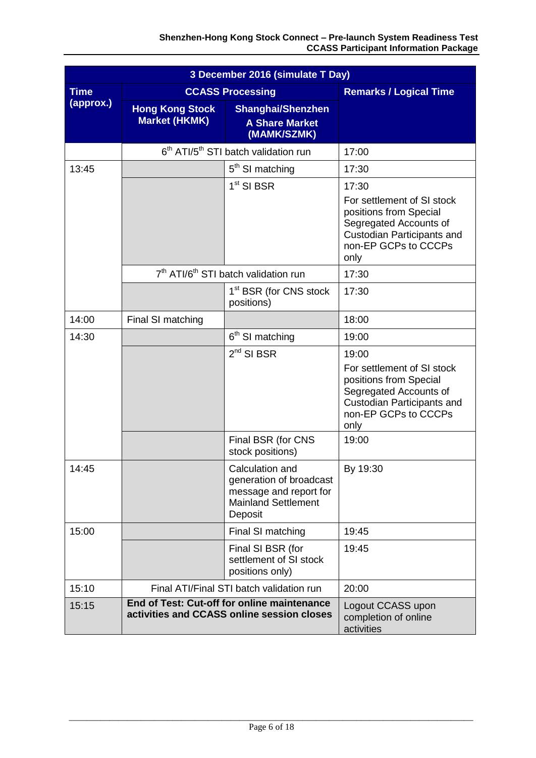|             | 3 December 2016 (simulate T Day)               |                                                                                                               |                                                                                                                                                              |  |  |  |
|-------------|------------------------------------------------|---------------------------------------------------------------------------------------------------------------|--------------------------------------------------------------------------------------------------------------------------------------------------------------|--|--|--|
| <b>Time</b> |                                                | <b>CCASS Processing</b>                                                                                       | <b>Remarks / Logical Time</b>                                                                                                                                |  |  |  |
| (approx.)   | <b>Hong Kong Stock</b><br><b>Market (HKMK)</b> | <b>Shanghai/Shenzhen</b><br><b>A Share Market</b><br>(MAMK/SZMK)                                              |                                                                                                                                                              |  |  |  |
|             |                                                | 6 <sup>th</sup> ATI/5 <sup>th</sup> STI batch validation run                                                  | 17:00                                                                                                                                                        |  |  |  |
| 13:45       |                                                | 5 <sup>th</sup> SI matching                                                                                   | 17:30                                                                                                                                                        |  |  |  |
|             |                                                | $1st$ SI BSR                                                                                                  | 17:30<br>For settlement of SI stock<br>positions from Special<br>Segregated Accounts of<br>Custodian Participants and<br>non-EP GCPs to CCCPs<br>only        |  |  |  |
|             |                                                | 7 <sup>th</sup> ATI/6 <sup>th</sup> STI batch validation run                                                  | 17:30                                                                                                                                                        |  |  |  |
|             |                                                | 1 <sup>st</sup> BSR (for CNS stock<br>positions)                                                              | 17:30                                                                                                                                                        |  |  |  |
| 14:00       | Final SI matching                              |                                                                                                               | 18:00                                                                                                                                                        |  |  |  |
| 14:30       |                                                | 6 <sup>th</sup> SI matching                                                                                   | 19:00                                                                                                                                                        |  |  |  |
|             |                                                | $2nd$ SI BSR                                                                                                  | 19:00<br>For settlement of SI stock<br>positions from Special<br>Segregated Accounts of<br><b>Custodian Participants and</b><br>non-EP GCPs to CCCPs<br>only |  |  |  |
|             |                                                | Final BSR (for CNS<br>stock positions)                                                                        | 19:00                                                                                                                                                        |  |  |  |
| 14:45       |                                                | Calculation and<br>generation of broadcast<br>message and report for<br><b>Mainland Settlement</b><br>Deposit | By 19:30                                                                                                                                                     |  |  |  |
| 15:00       |                                                | Final SI matching                                                                                             | 19:45                                                                                                                                                        |  |  |  |
|             |                                                | Final SI BSR (for<br>settlement of SI stock<br>positions only)                                                | 19:45                                                                                                                                                        |  |  |  |
| 15:10       |                                                | Final ATI/Final STI batch validation run                                                                      | 20:00                                                                                                                                                        |  |  |  |
| 15:15       |                                                | End of Test: Cut-off for online maintenance<br>activities and CCASS online session closes                     | Logout CCASS upon<br>completion of online<br>activities                                                                                                      |  |  |  |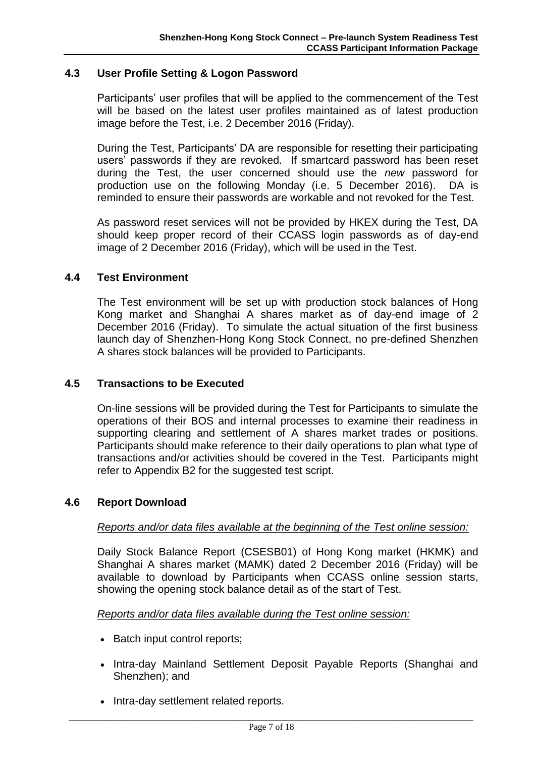#### <span id="page-10-0"></span>**4.3 User Profile Setting & Logon Password**

Participants' user profiles that will be applied to the commencement of the Test will be based on the latest user profiles maintained as of latest production image before the Test, i.e. 2 December 2016 (Friday).

During the Test, Participants' DA are responsible for resetting their participating users' passwords if they are revoked. If smartcard password has been reset during the Test, the user concerned should use the *new* password for production use on the following Monday (i.e. 5 December 2016). DA is reminded to ensure their passwords are workable and not revoked for the Test.

As password reset services will not be provided by HKEX during the Test, DA should keep proper record of their CCASS login passwords as of day-end image of 2 December 2016 (Friday), which will be used in the Test.

#### <span id="page-10-1"></span>**4.4 Test Environment**

The Test environment will be set up with production stock balances of Hong Kong market and Shanghai A shares market as of day-end image of 2 December 2016 (Friday). To simulate the actual situation of the first business launch day of Shenzhen-Hong Kong Stock Connect, no pre-defined Shenzhen A shares stock balances will be provided to Participants.

#### <span id="page-10-2"></span>**4.5 Transactions to be Executed**

On-line sessions will be provided during the Test for Participants to simulate the operations of their BOS and internal processes to examine their readiness in supporting clearing and settlement of A shares market trades or positions. Participants should make reference to their daily operations to plan what type of transactions and/or activities should be covered in the Test. Participants might refer to Appendix B2 for the suggested test script.

#### <span id="page-10-3"></span>**4.6 Report Download**

#### *Reports and/or data files available at the beginning of the Test online session:*

Daily Stock Balance Report (CSESB01) of Hong Kong market (HKMK) and Shanghai A shares market (MAMK) dated 2 December 2016 (Friday) will be available to download by Participants when CCASS online session starts, showing the opening stock balance detail as of the start of Test.

#### *Reports and/or data files available during the Test online session:*

- Batch input control reports;
- Intra-day Mainland Settlement Deposit Payable Reports (Shanghai and Shenzhen); and
- Intra-day settlement related reports.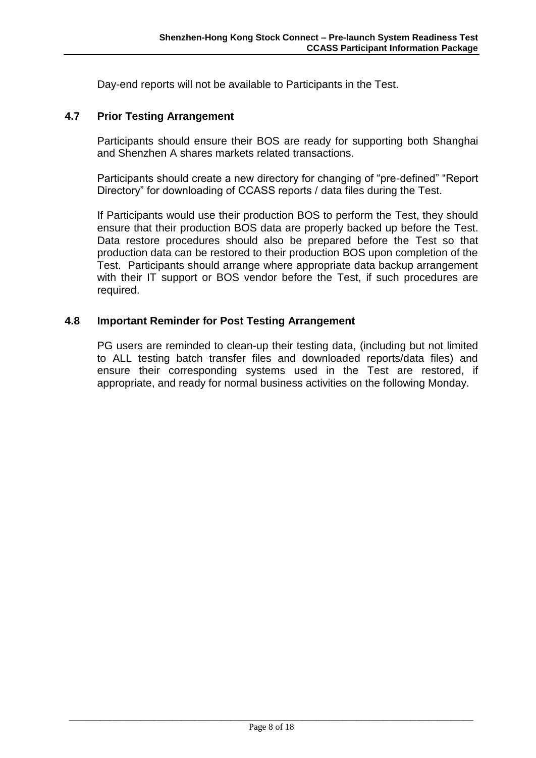Day-end reports will not be available to Participants in the Test.

#### <span id="page-11-0"></span>**4.7 Prior Testing Arrangement**

Participants should ensure their BOS are ready for supporting both Shanghai and Shenzhen A shares markets related transactions.

Participants should create a new directory for changing of "pre-defined" "Report Directory" for downloading of CCASS reports / data files during the Test.

If Participants would use their production BOS to perform the Test, they should ensure that their production BOS data are properly backed up before the Test. Data restore procedures should also be prepared before the Test so that production data can be restored to their production BOS upon completion of the Test. Participants should arrange where appropriate data backup arrangement with their IT support or BOS vendor before the Test, if such procedures are required.

#### <span id="page-11-1"></span>**4.8 Important Reminder for Post Testing Arrangement**

PG users are reminded to clean-up their testing data, (including but not limited to ALL testing batch transfer files and downloaded reports/data files) and ensure their corresponding systems used in the Test are restored, if appropriate, and ready for normal business activities on the following Monday.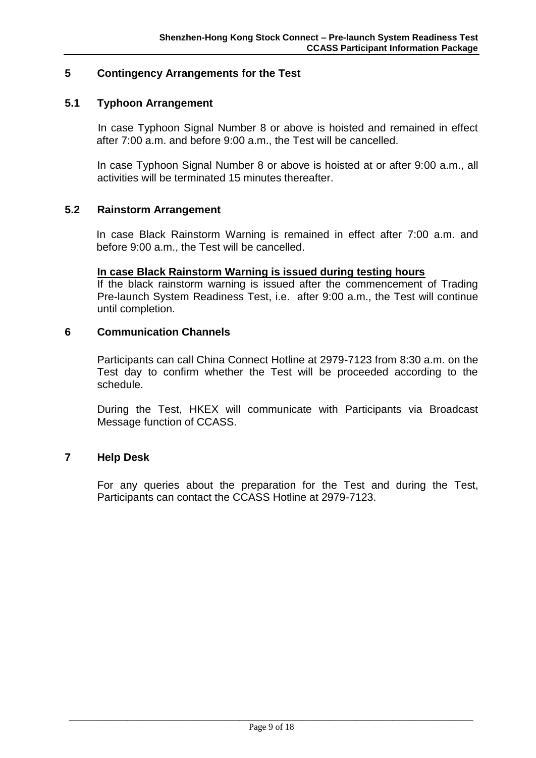#### <span id="page-12-0"></span>**5 Contingency Arrangements for the Test**

#### <span id="page-12-1"></span>**5.1 Typhoon Arrangement**

 In case Typhoon Signal Number 8 or above is hoisted and remained in effect after 7:00 a.m. and before 9:00 a.m., the Test will be cancelled.

In case Typhoon Signal Number 8 or above is hoisted at or after 9:00 a.m., all activities will be terminated 15 minutes thereafter.

#### <span id="page-12-2"></span>**5.2 Rainstorm Arrangement**

In case Black Rainstorm Warning is remained in effect after 7:00 a.m. and before 9:00 a.m., the Test will be cancelled.

#### **In case Black Rainstorm Warning is issued during testing hours**

If the black rainstorm warning is issued after the commencement of Trading Pre-launch System Readiness Test, i.e. after 9:00 a.m., the Test will continue until completion.

#### <span id="page-12-3"></span>**6 Communication Channels**

Participants can call China Connect Hotline at 2979-7123 from 8:30 a.m. on the Test day to confirm whether the Test will be proceeded according to the schedule.

During the Test, HKEX will communicate with Participants via Broadcast Message function of CCASS.

#### <span id="page-12-4"></span>**7 Help Desk**

For any queries about the preparation for the Test and during the Test, Participants can contact the CCASS Hotline at 2979-7123.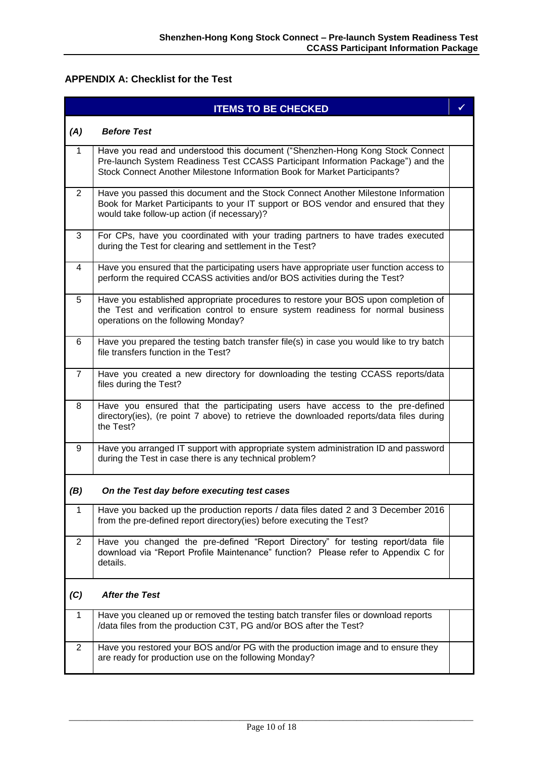#### <span id="page-13-0"></span>**APPENDIX A: Checklist for the Test**

|                | <b>ITEMS TO BE CHECKED</b>                                                                                                                                                                                                                     | ✓ |
|----------------|------------------------------------------------------------------------------------------------------------------------------------------------------------------------------------------------------------------------------------------------|---|
| (A)            | <b>Before Test</b>                                                                                                                                                                                                                             |   |
| 1              | Have you read and understood this document ("Shenzhen-Hong Kong Stock Connect<br>Pre-launch System Readiness Test CCASS Participant Information Package") and the<br>Stock Connect Another Milestone Information Book for Market Participants? |   |
| $\overline{2}$ | Have you passed this document and the Stock Connect Another Milestone Information<br>Book for Market Participants to your IT support or BOS vendor and ensured that they<br>would take follow-up action (if necessary)?                        |   |
| 3              | For CPs, have you coordinated with your trading partners to have trades executed<br>during the Test for clearing and settlement in the Test?                                                                                                   |   |
| 4              | Have you ensured that the participating users have appropriate user function access to<br>perform the required CCASS activities and/or BOS activities during the Test?                                                                         |   |
| 5              | Have you established appropriate procedures to restore your BOS upon completion of<br>the Test and verification control to ensure system readiness for normal business<br>operations on the following Monday?                                  |   |
| 6              | Have you prepared the testing batch transfer file(s) in case you would like to try batch<br>file transfers function in the Test?                                                                                                               |   |
| $\overline{7}$ | Have you created a new directory for downloading the testing CCASS reports/data<br>files during the Test?                                                                                                                                      |   |
| 8              | Have you ensured that the participating users have access to the pre-defined<br>directory(ies), (re point 7 above) to retrieve the downloaded reports/data files during<br>the Test?                                                           |   |
| 9              | Have you arranged IT support with appropriate system administration ID and password<br>during the Test in case there is any technical problem?                                                                                                 |   |
| (B)            | On the Test day before executing test cases                                                                                                                                                                                                    |   |
| $\mathbf{1}$   | Have you backed up the production reports / data files dated 2 and 3 December 2016<br>from the pre-defined report directory(ies) before executing the Test?                                                                                    |   |
| $\overline{2}$ | Have you changed the pre-defined "Report Directory" for testing report/data file<br>download via "Report Profile Maintenance" function? Please refer to Appendix C for<br>details.                                                             |   |
| (C)            | <b>After the Test</b>                                                                                                                                                                                                                          |   |
| 1              | Have you cleaned up or removed the testing batch transfer files or download reports<br>/data files from the production C3T, PG and/or BOS after the Test?                                                                                      |   |
| $\overline{2}$ | Have you restored your BOS and/or PG with the production image and to ensure they<br>are ready for production use on the following Monday?                                                                                                     |   |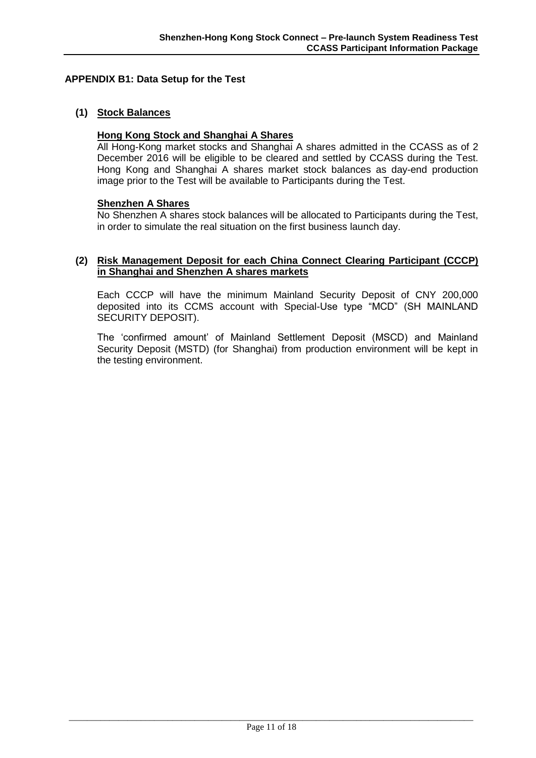#### <span id="page-14-0"></span>**APPENDIX B1: Data Setup for the Test**

#### **(1) Stock Balances**

#### **Hong Kong Stock and Shanghai A Shares**

All Hong-Kong market stocks and Shanghai A shares admitted in the CCASS as of 2 December 2016 will be eligible to be cleared and settled by CCASS during the Test. Hong Kong and Shanghai A shares market stock balances as day-end production image prior to the Test will be available to Participants during the Test.

#### **Shenzhen A Shares**

No Shenzhen A shares stock balances will be allocated to Participants during the Test, in order to simulate the real situation on the first business launch day.

#### **(2) Risk Management Deposit for each China Connect Clearing Participant (CCCP) in Shanghai and Shenzhen A shares markets**

Each CCCP will have the minimum Mainland Security Deposit of CNY 200,000 deposited into its CCMS account with Special-Use type "MCD" (SH MAINLAND SECURITY DEPOSIT).

The 'confirmed amount' of Mainland Settlement Deposit (MSCD) and Mainland Security Deposit (MSTD) (for Shanghai) from production environment will be kept in the testing environment.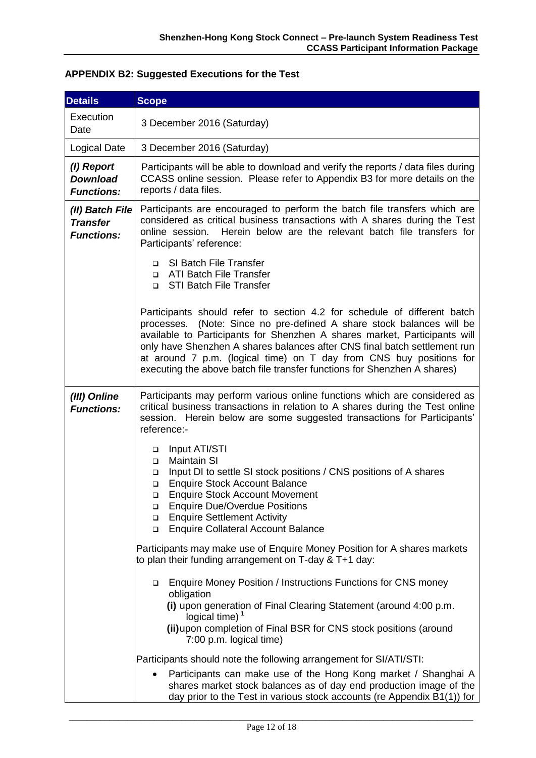#### Execution Date 3 December 2016 (Saturday) Logical Date | 3 December 2016 (Saturday) *(I) Report Download Functions:* Participants will be able to download and verify the reports / data files during CCASS online session. Please refer to Appendix B3 for more details on the reports / data files. *(II) Batch File Transfer Functions:* Participants are encouraged to perform the batch file transfers which are considered as critical business transactions with A shares during the Test online session. Herein below are the relevant batch file transfers for Participants' reference: □ SI Batch File Transfer □ ATI Batch File Transfer □ STI Batch File Transfer Participants should refer to section 4.2 for schedule of different batch processes. (Note: Since no pre-defined A share stock balances will be available to Participants for Shenzhen A shares market, Participants will only have Shenzhen A shares balances after CNS final batch settlement run at around 7 p.m. (logical time) on T day from CNS buy positions for executing the above batch file transfer functions for Shenzhen A shares) *(III) Online Functions:* Participants may perform various online functions which are considered as critical business transactions in relation to A shares during the Test online session. Herein below are some suggested transactions for Participants' reference:- Input ATI/STI Maintain SI Input DI to settle SI stock positions / CNS positions of A shares □ Enquire Stock Account Balance Enquire Stock Account Movement □ Enquire Due/Overdue Positions **Enquire Settlement Activity** Enquire Collateral Account Balance Participants may make use of Enquire Money Position for A shares markets to plan their funding arrangement on T-day & T+1 day: Enquire Money Position / Instructions Functions for CNS money obligation **(i)** upon generation of Final Clearing Statement (around 4:00 p.m. logical time)<sup>1</sup>

#### <span id="page-15-0"></span>**APPENDIX B2: Suggested Executions for the Test**

**Details Scope**

**(ii)**upon completion of Final BSR for CNS stock positions (around 7:00 p.m. logical time) Participants should note the following arrangement for SI/ATI/STI:

 Participants can make use of the Hong Kong market / Shanghai A shares market stock balances as of day end production image of the day prior to the Test in various stock accounts (re Appendix B1(1)) for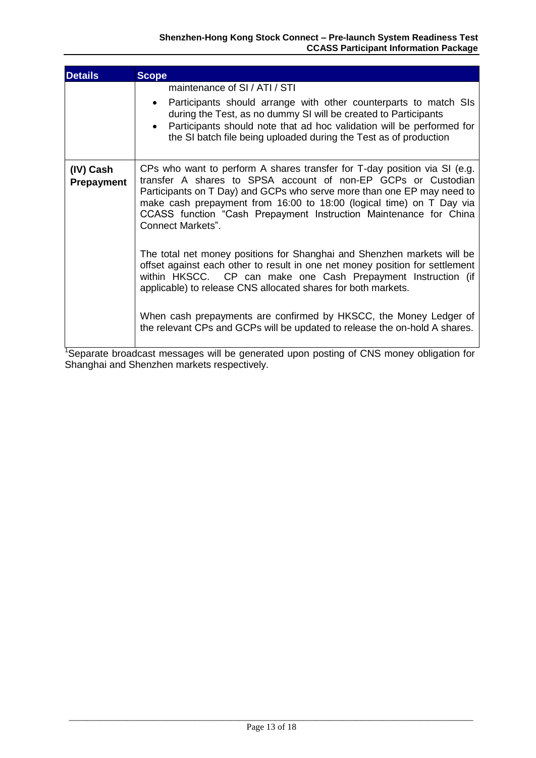| <b>Details</b>                 | <b>Scope</b>                                                                                                                                                                                                                                                                                                                                                                                  |
|--------------------------------|-----------------------------------------------------------------------------------------------------------------------------------------------------------------------------------------------------------------------------------------------------------------------------------------------------------------------------------------------------------------------------------------------|
|                                | maintenance of SI / ATI / STI                                                                                                                                                                                                                                                                                                                                                                 |
|                                | Participants should arrange with other counterparts to match SIs<br>during the Test, as no dummy SI will be created to Participants<br>Participants should note that ad hoc validation will be performed for<br>the SI batch file being uploaded during the Test as of production                                                                                                             |
| (IV) Cash<br><b>Prepayment</b> | CPs who want to perform A shares transfer for T-day position via SI (e.g.<br>transfer A shares to SPSA account of non-EP GCPs or Custodian<br>Participants on T Day) and GCPs who serve more than one EP may need to<br>make cash prepayment from 16:00 to 18:00 (logical time) on T Day via<br>CCASS function "Cash Prepayment Instruction Maintenance for China<br><b>Connect Markets".</b> |
|                                | The total net money positions for Shanghai and Shenzhen markets will be<br>offset against each other to result in one net money position for settlement<br>within HKSCC. CP can make one Cash Prepayment Instruction (if<br>applicable) to release CNS allocated shares for both markets.                                                                                                     |
|                                | When cash prepayments are confirmed by HKSCC, the Money Ledger of<br>the relevant CPs and GCPs will be updated to release the on-hold A shares.<br><b>THE R</b><br>$\sim$ $\sim$ $\sim$                                                                                                                                                                                                       |

<sup>1</sup>Separate broadcast messages will be generated upon posting of CNS money obligation for Shanghai and Shenzhen markets respectively.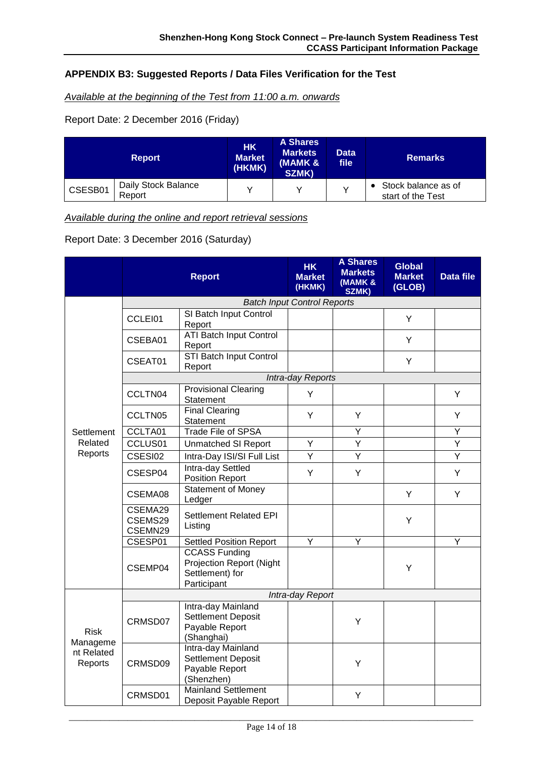#### <span id="page-17-0"></span>**APPENDIX B3: Suggested Reports / Data Files Verification for the Test**

*Available at the beginning of the Test from 11:00 a.m. onwards*

Report Date: 2 December 2016 (Friday)

| <b>Report</b> |                               | <b>A Shares</b><br><b>HK</b><br><b>Markets</b><br><b>Market</b><br>(MAMK &<br>(HKMK)<br>SZMK) |  | <b>Data</b><br>file | <b>Remarks</b>                           |  |
|---------------|-------------------------------|-----------------------------------------------------------------------------------------------|--|---------------------|------------------------------------------|--|
| CSESB01       | Daily Stock Balance<br>Report |                                                                                               |  |                     | Stock balance as of<br>start of the Test |  |

*Available during the online and report retrieval sessions*

Report Date: 3 December 2016 (Saturday)

|                                                  |                                    | <b>Report</b>                                                                             | <b>HK</b><br><b>Market</b><br>(HKMK) | <b>A Shares</b><br><b>Markets</b><br>(MAMK &<br>SZMK) | <b>Global</b><br><b>Market</b><br>(GLOB) | Data file |  |
|--------------------------------------------------|------------------------------------|-------------------------------------------------------------------------------------------|--------------------------------------|-------------------------------------------------------|------------------------------------------|-----------|--|
|                                                  | <b>Batch Input Control Reports</b> |                                                                                           |                                      |                                                       |                                          |           |  |
|                                                  | CCLEI01                            | SI Batch Input Control<br>Report                                                          |                                      |                                                       | Y                                        |           |  |
|                                                  | CSEBA01                            | <b>ATI Batch Input Control</b><br>Report                                                  |                                      |                                                       | Y                                        |           |  |
|                                                  | CSEAT01                            | <b>STI Batch Input Control</b><br>Report                                                  |                                      |                                                       | Y                                        |           |  |
|                                                  |                                    |                                                                                           | Intra-day Reports                    |                                                       |                                          |           |  |
|                                                  | CCLTN04                            | <b>Provisional Clearing</b><br>Statement                                                  | Y                                    |                                                       |                                          | Y         |  |
|                                                  | CCLTN05                            | <b>Final Clearing</b><br>Statement                                                        | Y                                    | Y                                                     |                                          | Y         |  |
| Settlement                                       | CCLTA01                            | <b>Trade File of SPSA</b>                                                                 |                                      | $\overline{Y}$                                        |                                          | Ÿ         |  |
| Related                                          | CCLUS01                            | <b>Unmatched SI Report</b>                                                                | Υ                                    | Y                                                     |                                          | Y         |  |
| Reports                                          | CSESI02                            | Intra-Day ISI/SI Full List                                                                | Y                                    | $\overline{Y}$                                        |                                          | Ÿ         |  |
|                                                  | CSESP04                            | Intra-day Settled<br>Position Report                                                      | Y                                    | Y                                                     |                                          | Y         |  |
|                                                  | CSEMA08                            | <b>Statement of Money</b><br>Ledger                                                       |                                      |                                                       | Y                                        | Y         |  |
|                                                  | CSEMA29<br>CSEMS29<br>CSEMN29      | Settlement Related EPI<br>Listing                                                         |                                      |                                                       | Υ                                        |           |  |
|                                                  | CSESP01                            | <b>Settled Position Report</b>                                                            | Υ                                    | Y                                                     |                                          | Υ         |  |
|                                                  | CSEMP04                            | <b>CCASS Funding</b><br><b>Projection Report (Night</b><br>Settlement) for<br>Participant |                                      |                                                       | Υ                                        |           |  |
|                                                  | Intra-day Report                   |                                                                                           |                                      |                                                       |                                          |           |  |
| <b>Risk</b><br>Manageme<br>nt Related<br>Reports | CRMSD07                            | Intra-day Mainland<br><b>Settlement Deposit</b><br>Payable Report<br>(Shanghai)           |                                      | Y                                                     |                                          |           |  |
|                                                  | CRMSD09                            | Intra-day Mainland<br><b>Settlement Deposit</b><br>Payable Report<br>(Shenzhen)           |                                      | Y                                                     |                                          |           |  |
|                                                  | CRMSD01                            | <b>Mainland Settlement</b><br>Deposit Payable Report                                      |                                      | Y                                                     |                                          |           |  |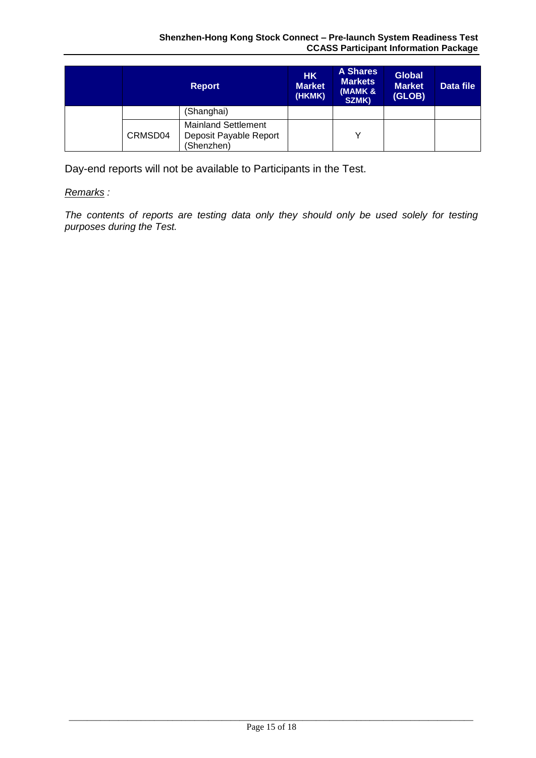|         | <b>Report</b>                                                      | <b>HK</b><br><b>Market</b><br>(HKMK) | <b>A Shares</b><br><b>Markets</b><br>(MAMK &<br>SZMK) | <b>Global</b><br><b>Market</b><br>(GLOB) | Data file |
|---------|--------------------------------------------------------------------|--------------------------------------|-------------------------------------------------------|------------------------------------------|-----------|
|         | (Shanghai)                                                         |                                      |                                                       |                                          |           |
| CRMSD04 | <b>Mainland Settlement</b><br>Deposit Payable Report<br>(Shenzhen) |                                      |                                                       |                                          |           |

Day-end reports will not be available to Participants in the Test.

#### *Remarks :*

*The contents of reports are testing data only they should only be used solely for testing purposes during the Test.*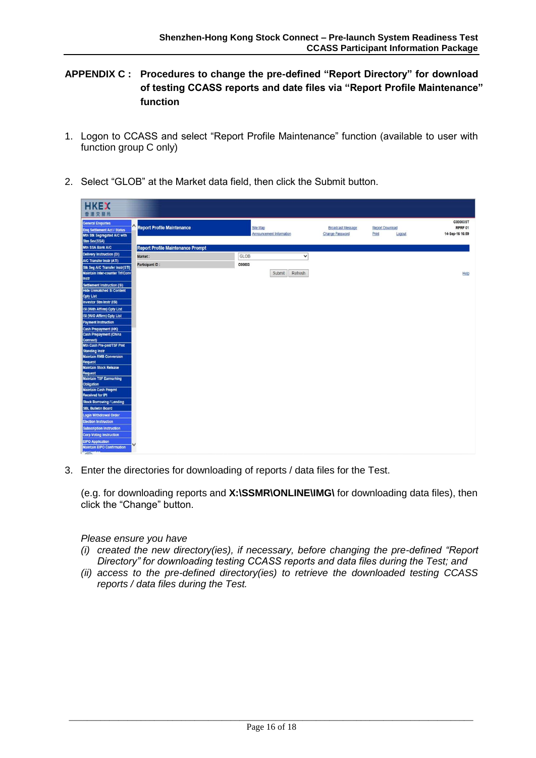#### <span id="page-19-0"></span>**APPENDIX C : Procedures to change the pre-defined "Report Directory" for download of testing CCASS reports and date files via "Report Profile Maintenance" function**

- 1. Logon to CCASS and select "Report Profile Maintenance" function (available to user with function group C only)
- 2. Select "GLOB" at the Market data field, then click the Submit button.

| <b>HKEX</b><br>香港交易所                                                                                   |                                          |                                             |                                                    |                                           |                                        |
|--------------------------------------------------------------------------------------------------------|------------------------------------------|---------------------------------------------|----------------------------------------------------|-------------------------------------------|----------------------------------------|
| <b>General Enquiries</b><br>Eng Settlement Act / Status<br>Mtn Stk Segregated A/C with<br>Stm Sev(SSA) | <b>Report Profile Maintenance</b>        | Site Map<br><b>Announcement Information</b> | <b>Broadcast Message</b><br><b>Change Password</b> | <b>Report Download</b><br>Print<br>Logout | C00003ST<br>RPRF 01<br>14-Sep-16 16:59 |
| Mtn SSA Bank A/C                                                                                       | <b>Report Profile Maintenance Prompt</b> |                                             |                                                    |                                           |                                        |
| <b>Delivery Instruction (DI)</b>                                                                       |                                          | GLOB<br>$\check{ }$                         |                                                    |                                           |                                        |
| A/C Transfer Instr (ATI)                                                                               | Market:                                  |                                             |                                                    |                                           |                                        |
| Stk Seg A/C Transfer Instr(STI)                                                                        | Participant ID:                          | C00003                                      |                                                    |                                           |                                        |
| Maintain Inter-counter Trf/Conv                                                                        |                                          | Refresh<br>Submit                           |                                                    |                                           | Help                                   |
| Instr                                                                                                  |                                          |                                             |                                                    |                                           |                                        |
| Settlement Instruction (SI)                                                                            |                                          |                                             |                                                    |                                           |                                        |
| <b>Hide Unmatched SI Content</b>                                                                       |                                          |                                             |                                                    |                                           |                                        |
| <b>Cpty List</b>                                                                                       |                                          |                                             |                                                    |                                           |                                        |
| Investor Stm Instr (ISI)                                                                               |                                          |                                             |                                                    |                                           |                                        |
| ISI (With Affirm) Cpty List                                                                            |                                          |                                             |                                                    |                                           |                                        |
| ISI (W/O Affirm) Cpty List                                                                             |                                          |                                             |                                                    |                                           |                                        |
| <b>Payment Instruction</b>                                                                             |                                          |                                             |                                                    |                                           |                                        |
| <b>Cash Prepayment (HK)</b>                                                                            |                                          |                                             |                                                    |                                           |                                        |
| <b>Cash Prepayment (China</b>                                                                          |                                          |                                             |                                                    |                                           |                                        |
| Connect)                                                                                               |                                          |                                             |                                                    |                                           |                                        |
| Mtn Cash Pre-pmt/TSF Pmt<br><b>Standing Instr</b>                                                      |                                          |                                             |                                                    |                                           |                                        |
| <b>Maintain RMB Conversion</b>                                                                         |                                          |                                             |                                                    |                                           |                                        |
| <b>Request</b>                                                                                         |                                          |                                             |                                                    |                                           |                                        |
| <b>Maintain Stock Release</b>                                                                          |                                          |                                             |                                                    |                                           |                                        |
| <b>Request</b>                                                                                         |                                          |                                             |                                                    |                                           |                                        |
| <b>Maintain TSF Earmarking</b>                                                                         |                                          |                                             |                                                    |                                           |                                        |
| Obligation                                                                                             |                                          |                                             |                                                    |                                           |                                        |
| <b>Maintain Cash Prepmt</b><br>Received for IPI                                                        |                                          |                                             |                                                    |                                           |                                        |
| <b>Stock Borrowing / Lending</b>                                                                       |                                          |                                             |                                                    |                                           |                                        |
| <b>SBL Bulletin Board</b>                                                                              |                                          |                                             |                                                    |                                           |                                        |
|                                                                                                        |                                          |                                             |                                                    |                                           |                                        |
| Login Withdrawal Order<br><b>Election Instruction</b>                                                  |                                          |                                             |                                                    |                                           |                                        |
| <b>Subscription Instruction</b>                                                                        |                                          |                                             |                                                    |                                           |                                        |
| <b>Corp Voting Instruction</b>                                                                         |                                          |                                             |                                                    |                                           |                                        |
| <b>EIPO Application</b>                                                                                |                                          |                                             |                                                    |                                           |                                        |
| <b>Maintain EIPO Confirmation</b>                                                                      |                                          |                                             |                                                    |                                           |                                        |

3. Enter the directories for downloading of reports / data files for the Test.

(e.g. for downloading reports and **X:\SSMR\ONLINE\IMG\** for downloading data files), then click the "Change" button.

*Please ensure you have* 

- *(i) created the new directory(ies), if necessary, before changing the pre-defined "Report Directory" for downloading testing CCASS reports and data files during the Test; and*
- *(ii) access to the pre-defined directory(ies) to retrieve the downloaded testing CCASS reports / data files during the Test.*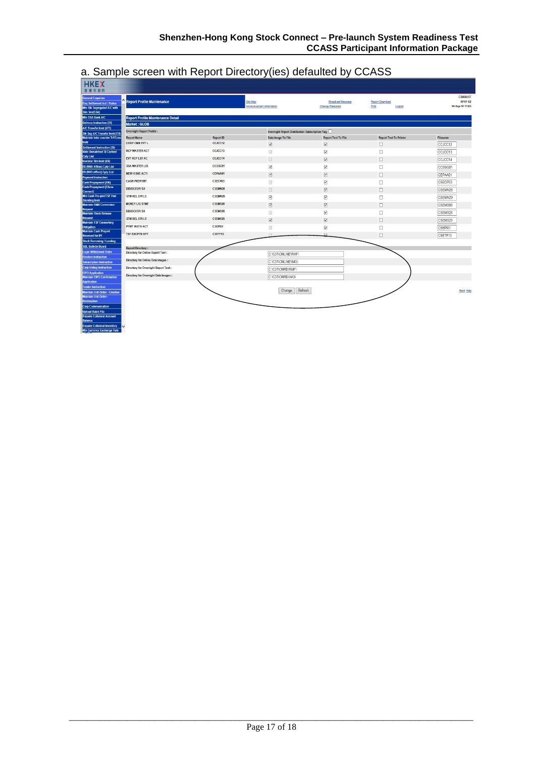| <b>HKEX</b>                                                    |                                          |           |                                                         |                                 |                               |                 |
|----------------------------------------------------------------|------------------------------------------|-----------|---------------------------------------------------------|---------------------------------|-------------------------------|-----------------|
| 香港交易所                                                          |                                          |           |                                                         |                                 |                               |                 |
| <b>General Enquiries</b>                                       |                                          |           |                                                         |                                 |                               | C00003ST        |
| <b>Eng Settlement Act / Status</b>                             | <b>Report Profile Maintenance</b>        |           | Site Map                                                | <b>Broadcast Message</b>        | Report Download               | RPRF 02         |
| Mtn Stk Segregated A/C with<br>Stm Sev(SSA)                    |                                          |           | Announcement Information                                | <b>Change Password</b>          | Print<br>Logout               | 14-Sep-16 17:03 |
| Mtn SSA Bank A/C                                               | <b>Report Profile Maintenance Detail</b> |           |                                                         |                                 |                               |                 |
| Delivery Instruction (DI)                                      | Market: GLOB                             |           |                                                         |                                 |                               |                 |
| <b>AIC Transfer Instr (ATI)</b>                                |                                          |           |                                                         |                                 |                               |                 |
| Stk Seg A/C Transfer Instr(STI)                                | <b>Overnight Report Profile:</b>         |           | <b>Overnight Report Distribution Subscription Flag.</b> |                                 |                               |                 |
| Maintain Inter-counter Trf/Conv<br>Instr                       | <b>Report Name</b>                       | Report ID | Data Image To File                                      | <b>Report Text To File</b>      | <b>Report Text To Printer</b> | Filename        |
| Settlement Instruction (SI)                                    | CORP CMN EVT L                           | CCJCC12   | $\overline{\mathsf{v}}$                                 | $\overline{\blacktriangledown}$ | 0                             | CCJCC12         |
| <b>Hide Unmatched SI Content</b>                               | <b>RCP MASTER ACT</b>                    | CCJCC13   | E.                                                      | $\overline{\checkmark}$         | о                             | CCJCC13         |
| <b>Cpty List</b><br><b>Investor Strn Instr (ISI)</b>           | EVT RCP LST AC                           | CCJCC14   | B                                                       | $\overline{\mathsf{v}}$         | $\Box$                        | CCJCC14         |
| <b>ISI (With Affirm) Cpty List</b>                             | <b>SSA MASTER LIS</b>                    | CCSSG01   | $\overline{\checkmark}$                                 | $\overline{\checkmark}$         | □                             | CCSSG01         |
| ISI (W/O Affirm) Cpty List                                     | NEW ISSUE ACTI                           | CEPAA01   | $\overline{\mathbf{v}}$                                 | $\overline{\mathbf{v}}$         | $\Box$                        | CEPAA01         |
| <b>Payment Instruction</b>                                     | <b>CASH PREPYMT</b>                      | CSECP03   |                                                         |                                 |                               |                 |
| Cash Prepayment (HK)<br><b>Cash Prepayment (China</b>          |                                          |           | E                                                       | $\overline{\checkmark}$         | Ω                             | CSECP03         |
| Connect)                                                       | <b>DDI/DCI/EPI SU</b>                    | CSEMN28   | O                                                       | $\overline{\mathbf{v}}$         | □                             | CSEMN28         |
| Mtn Cash Pre-pmt/TSF Pmt<br><b>Standing Instr</b>              | STM REL EPILS                            | CSEMN29   | $\blacktriangledown$                                    | $\overline{\mathbf{v}}$         | □                             | CSEMN29         |
| <b>Maintain RMB Conversion</b>                                 | <b>MONEY LIG STMT</b>                    | CSEMS08   | $\overline{\checkmark}$                                 | $\overline{\mathsf{v}}$         | O                             | CSEMS08         |
| Request<br><b>Maintain Stock Release</b>                       | <b>DDI/DCI/EPI SU</b>                    | C.SEMS28  | 圓                                                       | $\overline{\mathbf{v}}$         | □                             | CSEMS28         |
| <b>Request</b><br><b>Maintain TSF Earmarking</b>               | STM REL EPILS                            | CSEMS29   | $\overline{\checkmark}$                                 | $\overline{\checkmark}$         | $\Box$                        | CSEMS29         |
| <b>Obligation</b>                                              | PYMT INSTRACT                            | CSEP101   | O                                                       | $\overline{\textbf{v}}$         | □                             | CSEPI01         |
| <b>Maintain Cash Prepmt</b><br><b>Received for IPI</b>         | <b>TSF EXCPTN RPT</b>                    | CSETF13   |                                                         | <b>D</b>                        | п                             | CSETF13         |
| <b>Stock Borrowing / Lending</b>                               |                                          |           |                                                         |                                 |                               |                 |
| <b>SBL Bulletin Board</b>                                      | <b>Report Directory:</b>                 |           |                                                         |                                 |                               |                 |
| Login Withdrawal Order                                         | Directory for Online Report Text:        |           | C:\C3T\ONLINE\RMF\                                      |                                 |                               |                 |
| <b>Election Instruction</b><br><b>Subscription Instruction</b> | Directory for Online Data Images :       |           | C:\C3T\ONLINE\IMG\                                      |                                 |                               |                 |
| <b>Corp Voting Instruction</b>                                 | Directory for Overnight Report Text:     |           | C:\C3T\ONRD\RMF\                                        |                                 |                               |                 |
| <b>EIPO Application</b>                                        |                                          |           |                                                         |                                 |                               |                 |
| <b>Maintain EIPO Confirmation</b>                              | Directory for Overnight Data Images :    |           | C:\C3T\ONRD\IMG\                                        |                                 |                               |                 |
| <b>Application</b><br><b>Tender Instruction</b>                |                                          |           |                                                         |                                 |                               |                 |
| Maintain Unit Order - Creation                                 |                                          |           | Change                                                  | Refresh                         |                               | Back Help       |
| Maintain Unit Order -                                          |                                          |           |                                                         |                                 |                               |                 |
| Redemption                                                     |                                          |           |                                                         |                                 |                               |                 |
| <b>Corp Communication</b>                                      |                                          |           |                                                         |                                 |                               |                 |
| <b>Upload Batch File</b>                                       |                                          |           |                                                         |                                 |                               |                 |

### a. Sample screen with Report Directory(ies) defaulted by CCASS

Enquire Collateral Account<br>Balance<br>Enquire Collateral Inventory<br>Mtn Currency Exchange Rate